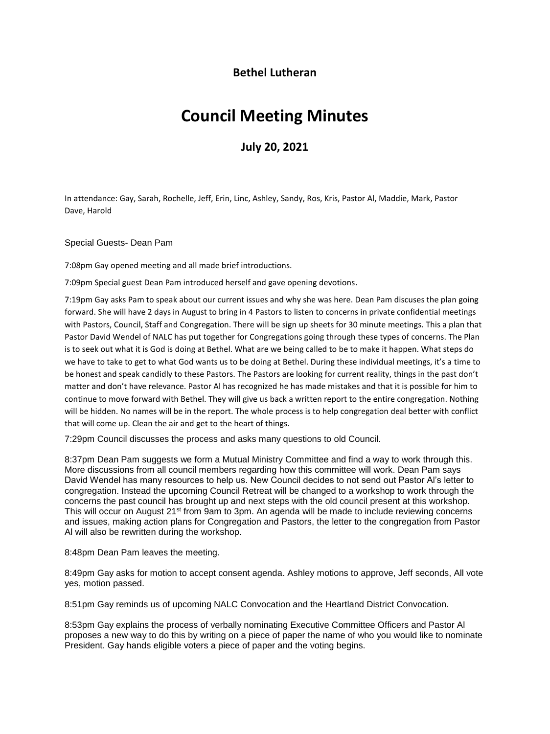## **Bethel Lutheran**

## **Council Meeting Minutes**

**July 20, 2021**

In attendance: Gay, Sarah, Rochelle, Jeff, Erin, Linc, Ashley, Sandy, Ros, Kris, Pastor Al, Maddie, Mark, Pastor Dave, Harold

Special Guests- Dean Pam

7:08pm Gay opened meeting and all made brief introductions.

7:09pm Special guest Dean Pam introduced herself and gave opening devotions.

7:19pm Gay asks Pam to speak about our current issues and why she was here. Dean Pam discuses the plan going forward. She will have 2 days in August to bring in 4 Pastors to listen to concerns in private confidential meetings with Pastors, Council, Staff and Congregation. There will be sign up sheets for 30 minute meetings. This a plan that Pastor David Wendel of NALC has put together for Congregations going through these types of concerns. The Plan is to seek out what it is God is doing at Bethel. What are we being called to be to make it happen. What steps do we have to take to get to what God wants us to be doing at Bethel. During these individual meetings, it's a time to be honest and speak candidly to these Pastors. The Pastors are looking for current reality, things in the past don't matter and don't have relevance. Pastor Al has recognized he has made mistakes and that it is possible for him to continue to move forward with Bethel. They will give us back a written report to the entire congregation. Nothing will be hidden. No names will be in the report. The whole process is to help congregation deal better with conflict that will come up. Clean the air and get to the heart of things.

7:29pm Council discusses the process and asks many questions to old Council.

8:37pm Dean Pam suggests we form a Mutual Ministry Committee and find a way to work through this. More discussions from all council members regarding how this committee will work. Dean Pam says David Wendel has many resources to help us. New Council decides to not send out Pastor Al's letter to congregation. Instead the upcoming Council Retreat will be changed to a workshop to work through the concerns the past council has brought up and next steps with the old council present at this workshop. This will occur on August 21st from 9am to 3pm. An agenda will be made to include reviewing concerns and issues, making action plans for Congregation and Pastors, the letter to the congregation from Pastor Al will also be rewritten during the workshop.

8:48pm Dean Pam leaves the meeting.

8:49pm Gay asks for motion to accept consent agenda. Ashley motions to approve, Jeff seconds, All vote yes, motion passed.

8:51pm Gay reminds us of upcoming NALC Convocation and the Heartland District Convocation.

8:53pm Gay explains the process of verbally nominating Executive Committee Officers and Pastor Al proposes a new way to do this by writing on a piece of paper the name of who you would like to nominate President. Gay hands eligible voters a piece of paper and the voting begins.